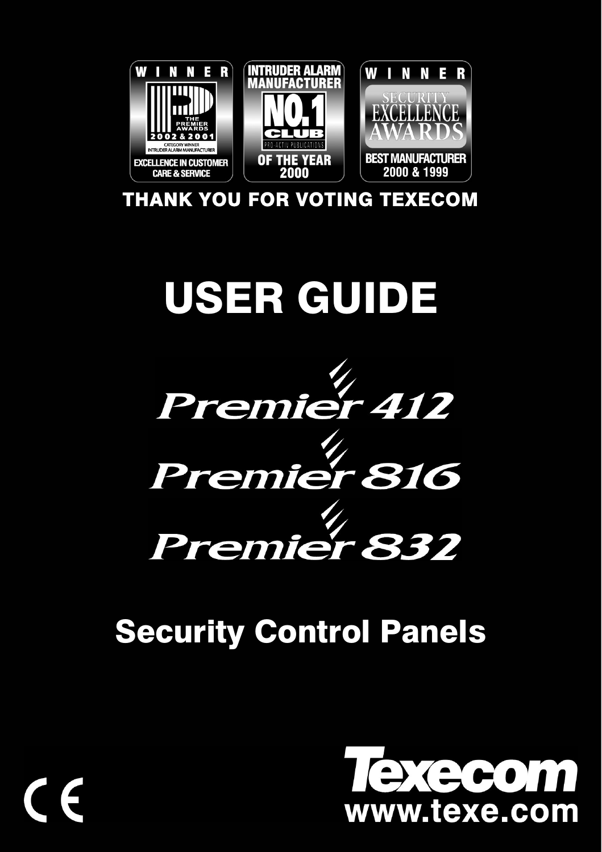

THANK YOU FOR VOTING TEXECOM



# **Security Control Panels**

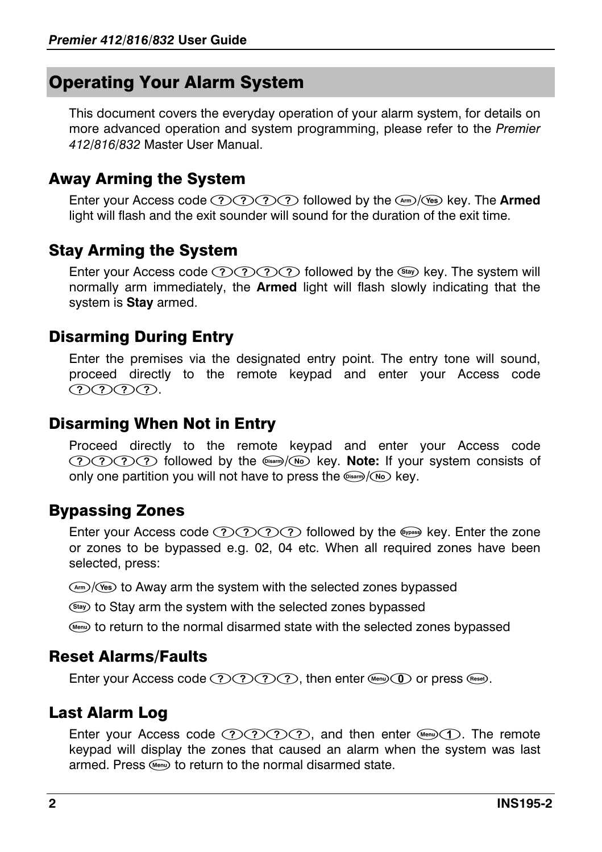# Operating Your Alarm System

This document covers the everyday operation of your alarm system, for details on more advanced operation and system programming, please refer to the *Premier 412/816/832* Master User Manual.

#### Away Arming the System

Enter your Access code  $\mathcal{D} \mathcal{D} \mathcal{D}$  followed by the  $\mathcal{A}$  (es) key. The **Armed** light will flash and the exit sounder will sound for the duration of the exit time.

#### Stay Arming the System

Enter your Access code  $\mathcal{D} \mathcal{D} \mathcal{D}$  followed by the  $\mathcal{F}$  key. The system will normally arm immediately, the **Armed** light will flash slowly indicating that the system is **Stay** armed.

#### Disarming During Entry

Enter the premises via the designated entry point. The entry tone will sound, proceed directly to the remote keypad and enter your Access code (?)(?)(?).

#### Disarming When Not in Entry

Proceed directly to the remote keypad and enter your Access code  $\mathcal{D}(\overline{\mathcal{D}}\mathcal{D})$  followed by the  $\mathcal{D}(\mathcal{D})$  key. Note: If your system consists of only one partition you will not have to press the  $\left(\sqrt{N_0}\right)$  key.

## Bypassing Zones

Enter your Access code  $\mathcal{D} \mathcal{D} \mathcal{D}$  followed by the  $\mathcal{F}$  key. Enter the zone or zones to be bypassed e.g. 02, 04 etc. When all required zones have been selected, press:

 $\binom{A^{m}}{k^{s}}$  to Away arm the system with the selected zones bypassed

(Stay) to Stay arm the system with the selected zones bypassed

(or teturn to the normal disarmed state with the selected zones bypassed

#### Reset Alarms/Faults

Enter your Access code  $\mathcal{D}(\mathcal{D}(\mathcal{D}),$  then enter  $\mathcal{D}(\mathcal{D})$  or press  $\mathcal{D}$ .

## Last Alarm Log

Enter your Access code  $\mathcal{D} \mathcal{D} \mathcal{D}$ , and then enter  $\mathcal{D} \mathcal{D}$ . The remote keypad will display the zones that caused an alarm when the system was last armed. Press (Menu) to return to the normal disarmed state.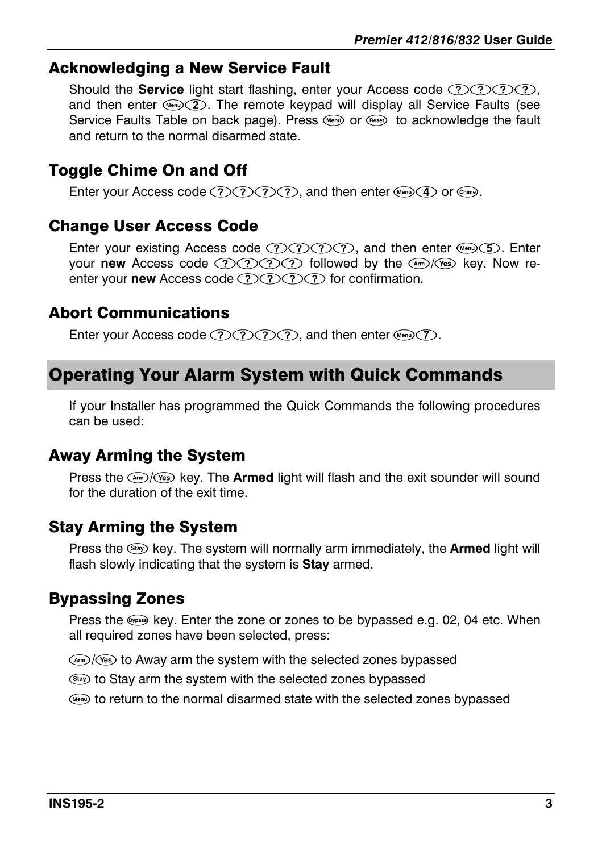#### Acknowledging a New Service Fault

Should the **Service** light start flashing, enter your Access code  $OOOO$ , and then enter  $\mathbb{Q}(2)$ . The remote keypad will display all Service Faults (see Service Faults Table on back page). Press ((orig) or (Rese) to acknowledge the fault and return to the normal disarmed state.

# Toggle Chime On and Off

Enter your Access code  $(?)(?)(?)$ , and then enter (Menu) (4) or  $(\widehat{\text{Chim}})$ .

## Change User Access Code

Enter your existing Access code  $(2)$  $(2)$  $(2)$ , and then enter (or  $(5)$ ). Enter your **new** Access code  $\mathcal{D}(\mathcal{D} \mathcal{D})$  followed by the  $\mathcal{D}/\mathcal{D}$  key. Now reenter your **new** Access code (?) (?) (?) for confirmation.

#### Abort Communications

Enter your Access code  $(2)(2)(2)(2)$ , and then enter (Menu) $(7)$ .

# Operating Your Alarm System with Quick Commands

If your Installer has programmed the Quick Commands the following procedures can be used:

# Away Arming the System

Press the  $\frac{m}{s}$  (Yes) key. The **Armed** light will flash and the exit sounder will sound for the duration of the exit time.

## Stay Arming the System

Press the **EX** key. The system will normally arm immediately, the **Armed** light will flash slowly indicating that the system is **Stay** armed.

# Bypassing Zones

Press the  $\lll$  key. Enter the zone or zones to be bypassed e.g. 02, 04 etc. When all required zones have been selected, press:

 $\frac{M_{\text{rms}}}{M_{\text{res}}}$  to Away arm the system with the selected zones bypassed

(Stay) to Stay arm the system with the selected zones bypassed

(a) to return to the normal disarmed state with the selected zones bypassed